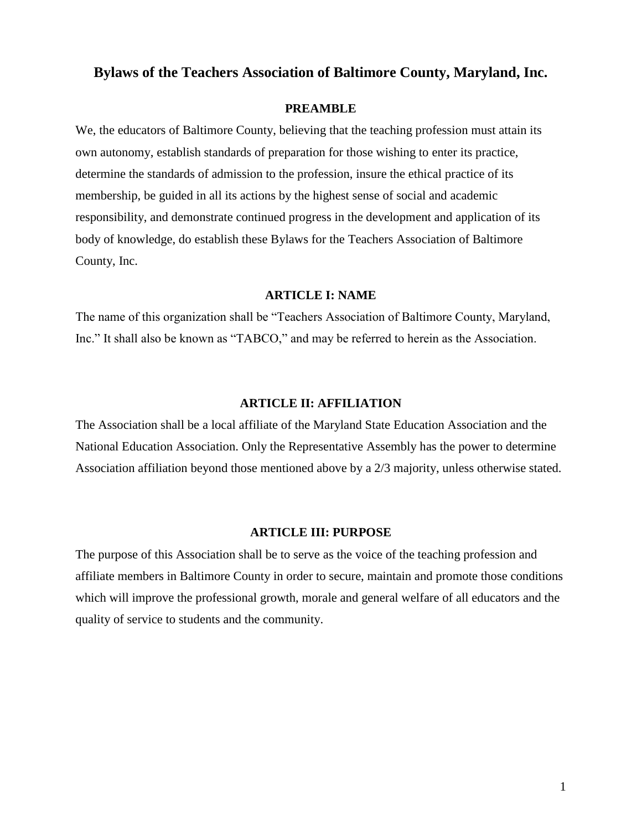# **Bylaws of the Teachers Association of Baltimore County, Maryland, Inc.**

#### **PREAMBLE**

We, the educators of Baltimore County, believing that the teaching profession must attain its own autonomy, establish standards of preparation for those wishing to enter its practice, determine the standards of admission to the profession, insure the ethical practice of its membership, be guided in all its actions by the highest sense of social and academic responsibility, and demonstrate continued progress in the development and application of its body of knowledge, do establish these Bylaws for the Teachers Association of Baltimore County, Inc.

## **ARTICLE I: NAME**

The name of this organization shall be "Teachers Association of Baltimore County, Maryland, Inc." It shall also be known as "TABCO," and may be referred to herein as the Association.

## **ARTICLE II: AFFILIATION**

The Association shall be a local affiliate of the Maryland State Education Association and the National Education Association. Only the Representative Assembly has the power to determine Association affiliation beyond those mentioned above by a 2/3 majority, unless otherwise stated.

#### **ARTICLE III: PURPOSE**

The purpose of this Association shall be to serve as the voice of the teaching profession and affiliate members in Baltimore County in order to secure, maintain and promote those conditions which will improve the professional growth, morale and general welfare of all educators and the quality of service to students and the community.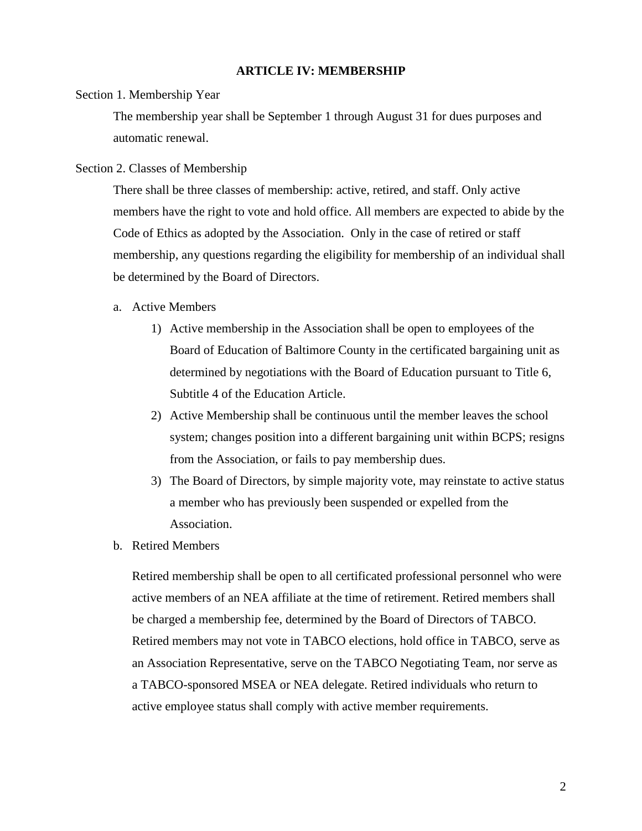# **ARTICLE IV: MEMBERSHIP**

## Section 1. Membership Year

The membership year shall be September 1 through August 31 for dues purposes and automatic renewal.

#### Section 2. Classes of Membership

There shall be three classes of membership: active, retired, and staff. Only active members have the right to vote and hold office. All members are expected to abide by the Code of Ethics as adopted by the Association. Only in the case of retired or staff membership, any questions regarding the eligibility for membership of an individual shall be determined by the Board of Directors.

## a. Active Members

- 1) Active membership in the Association shall be open to employees of the Board of Education of Baltimore County in the certificated bargaining unit as determined by negotiations with the Board of Education pursuant to Title 6, Subtitle 4 of the Education Article.
- 2) Active Membership shall be continuous until the member leaves the school system; changes position into a different bargaining unit within BCPS; resigns from the Association, or fails to pay membership dues.
- 3) The Board of Directors, by simple majority vote, may reinstate to active status a member who has previously been suspended or expelled from the Association.
- b. Retired Members

Retired membership shall be open to all certificated professional personnel who were active members of an NEA affiliate at the time of retirement. Retired members shall be charged a membership fee, determined by the Board of Directors of TABCO. Retired members may not vote in TABCO elections, hold office in TABCO, serve as an Association Representative, serve on the TABCO Negotiating Team, nor serve as a TABCO-sponsored MSEA or NEA delegate. Retired individuals who return to active employee status shall comply with active member requirements.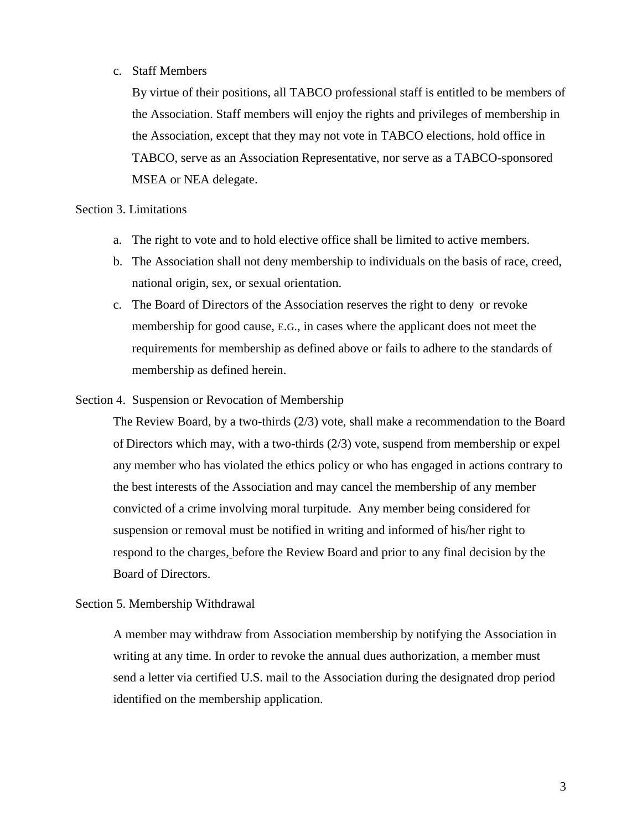# c. Staff Members

By virtue of their positions, all TABCO professional staff is entitled to be members of the Association. Staff members will enjoy the rights and privileges of membership in the Association, except that they may not vote in TABCO elections, hold office in TABCO, serve as an Association Representative, nor serve as a TABCO-sponsored MSEA or NEA delegate.

# Section 3. Limitations

- a. The right to vote and to hold elective office shall be limited to active members.
- b. The Association shall not deny membership to individuals on the basis of race, creed, national origin, sex, or sexual orientation.
- c. The Board of Directors of the Association reserves the right to deny or revoke membership for good cause, E.G., in cases where the applicant does not meet the requirements for membership as defined above or fails to adhere to the standards of membership as defined herein.
- Section 4. Suspension or Revocation of Membership

The Review Board, by a two-thirds (2/3) vote, shall make a recommendation to the Board of Directors which may, with a two-thirds (2/3) vote, suspend from membership or expel any member who has violated the ethics policy or who has engaged in actions contrary to the best interests of the Association and may cancel the membership of any member convicted of a crime involving moral turpitude. Any member being considered for suspension or removal must be notified in writing and informed of his/her right to respond to the charges, before the Review Board and prior to any final decision by the Board of Directors.

# Section 5. Membership Withdrawal

A member may withdraw from Association membership by notifying the Association in writing at any time. In order to revoke the annual dues authorization, a member must send a letter via certified U.S. mail to the Association during the designated drop period identified on the membership application.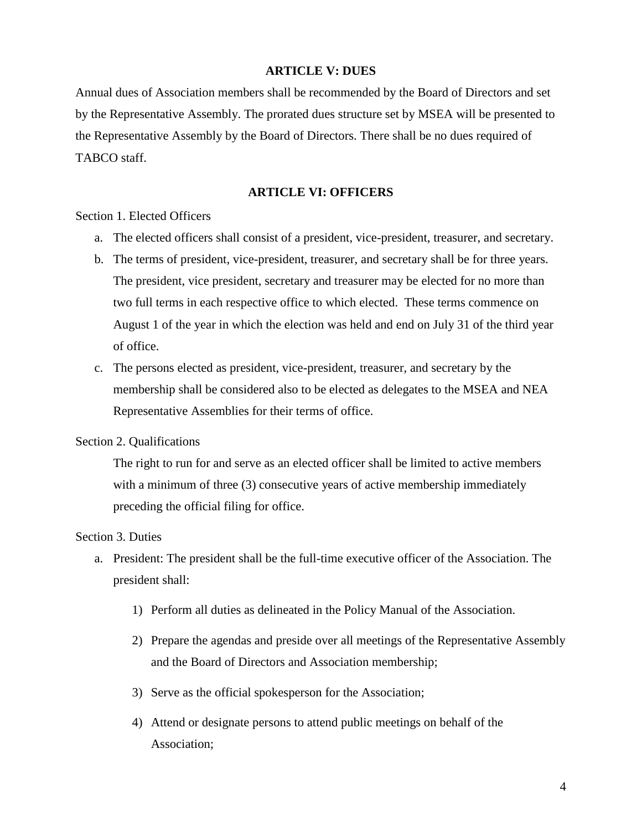## **ARTICLE V: DUES**

Annual dues of Association members shall be recommended by the Board of Directors and set by the Representative Assembly. The prorated dues structure set by MSEA will be presented to the Representative Assembly by the Board of Directors. There shall be no dues required of TABCO staff.

# **ARTICLE VI: OFFICERS**

Section 1. Elected Officers

- a. The elected officers shall consist of a president, vice-president, treasurer, and secretary.
- b. The terms of president, vice-president, treasurer, and secretary shall be for three years. The president, vice president, secretary and treasurer may be elected for no more than two full terms in each respective office to which elected. These terms commence on August 1 of the year in which the election was held and end on July 31 of the third year of office.
- c. The persons elected as president, vice-president, treasurer, and secretary by the membership shall be considered also to be elected as delegates to the MSEA and NEA Representative Assemblies for their terms of office.

## Section 2. Qualifications

The right to run for and serve as an elected officer shall be limited to active members with a minimum of three (3) consecutive years of active membership immediately preceding the official filing for office.

# Section 3. Duties

- a. President: The president shall be the full-time executive officer of the Association. The president shall:
	- 1) Perform all duties as delineated in the Policy Manual of the Association.
	- 2) Prepare the agendas and preside over all meetings of the Representative Assembly and the Board of Directors and Association membership;
	- 3) Serve as the official spokesperson for the Association;
	- 4) Attend or designate persons to attend public meetings on behalf of the Association;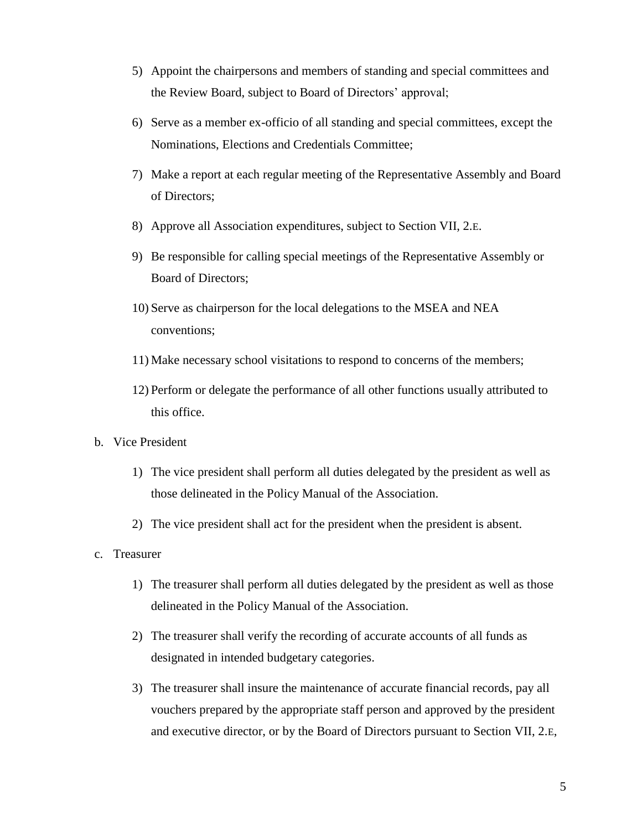- 5) Appoint the chairpersons and members of standing and special committees and the Review Board, subject to Board of Directors' approval;
- 6) Serve as a member ex-officio of all standing and special committees, except the Nominations, Elections and Credentials Committee;
- 7) Make a report at each regular meeting of the Representative Assembly and Board of Directors;
- 8) Approve all Association expenditures, subject to Section VII, 2.E.
- 9) Be responsible for calling special meetings of the Representative Assembly or Board of Directors;
- 10) Serve as chairperson for the local delegations to the MSEA and NEA conventions;
- 11) Make necessary school visitations to respond to concerns of the members;
- 12) Perform or delegate the performance of all other functions usually attributed to this office.
- b. Vice President
	- 1) The vice president shall perform all duties delegated by the president as well as those delineated in the Policy Manual of the Association.
	- 2) The vice president shall act for the president when the president is absent.
- c. Treasurer
	- 1) The treasurer shall perform all duties delegated by the president as well as those delineated in the Policy Manual of the Association.
	- 2) The treasurer shall verify the recording of accurate accounts of all funds as designated in intended budgetary categories.
	- 3) The treasurer shall insure the maintenance of accurate financial records, pay all vouchers prepared by the appropriate staff person and approved by the president and executive director, or by the Board of Directors pursuant to Section VII, 2.E,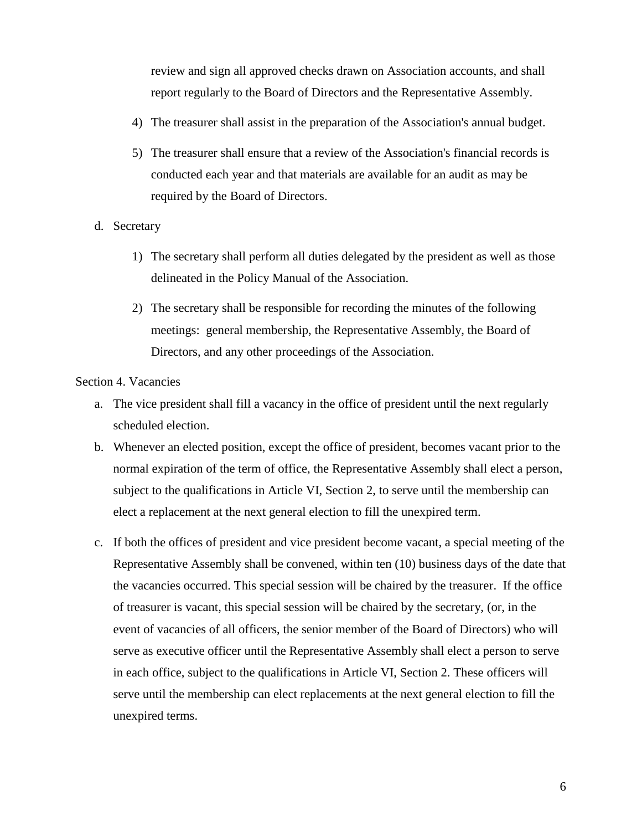review and sign all approved checks drawn on Association accounts, and shall report regularly to the Board of Directors and the Representative Assembly.

- 4) The treasurer shall assist in the preparation of the Association's annual budget.
- 5) The treasurer shall ensure that a review of the Association's financial records is conducted each year and that materials are available for an audit as may be required by the Board of Directors.
- d. Secretary
	- 1) The secretary shall perform all duties delegated by the president as well as those delineated in the Policy Manual of the Association.
	- 2) The secretary shall be responsible for recording the minutes of the following meetings: general membership, the Representative Assembly, the Board of Directors, and any other proceedings of the Association.

Section 4. Vacancies

- a. The vice president shall fill a vacancy in the office of president until the next regularly scheduled election.
- b. Whenever an elected position, except the office of president, becomes vacant prior to the normal expiration of the term of office, the Representative Assembly shall elect a person, subject to the qualifications in Article VI, Section 2, to serve until the membership can elect a replacement at the next general election to fill the unexpired term.
- c. If both the offices of president and vice president become vacant, a special meeting of the Representative Assembly shall be convened, within ten (10) business days of the date that the vacancies occurred. This special session will be chaired by the treasurer. If the office of treasurer is vacant, this special session will be chaired by the secretary, (or, in the event of vacancies of all officers, the senior member of the Board of Directors) who will serve as executive officer until the Representative Assembly shall elect a person to serve in each office, subject to the qualifications in Article VI, Section 2. These officers will serve until the membership can elect replacements at the next general election to fill the unexpired terms.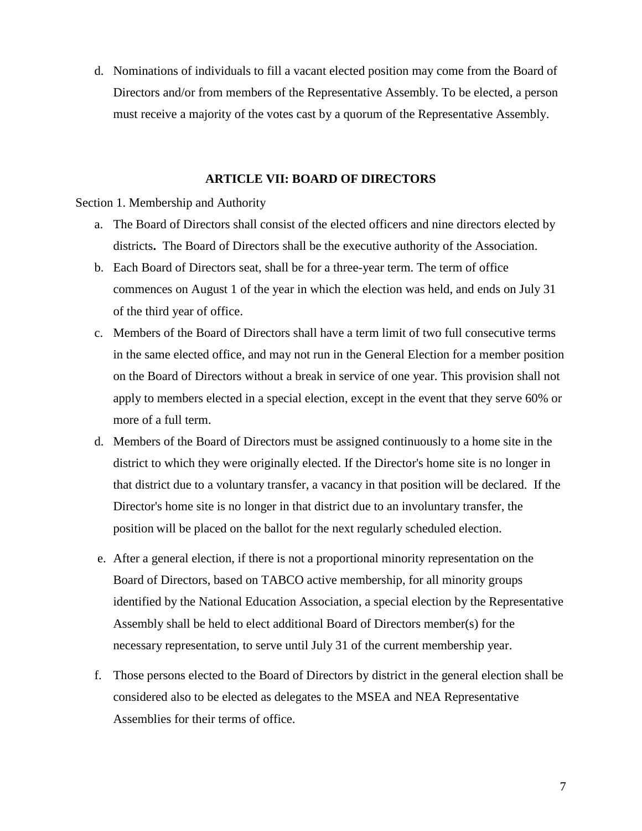d. Nominations of individuals to fill a vacant elected position may come from the Board of Directors and/or from members of the Representative Assembly. To be elected, a person must receive a majority of the votes cast by a quorum of the Representative Assembly.

## **ARTICLE VII: BOARD OF DIRECTORS**

Section 1. Membership and Authority

- a. The Board of Directors shall consist of the elected officers and nine directors elected by districts**.** The Board of Directors shall be the executive authority of the Association.
- b. Each Board of Directors seat, shall be for a three-year term. The term of office commences on August 1 of the year in which the election was held, and ends on July 31 of the third year of office.
- c. Members of the Board of Directors shall have a term limit of two full consecutive terms in the same elected office, and may not run in the General Election for a member position on the Board of Directors without a break in service of one year. This provision shall not apply to members elected in a special election, except in the event that they serve 60% or more of a full term.
- d. Members of the Board of Directors must be assigned continuously to a home site in the district to which they were originally elected. If the Director's home site is no longer in that district due to a voluntary transfer, a vacancy in that position will be declared. If the Director's home site is no longer in that district due to an involuntary transfer, the position will be placed on the ballot for the next regularly scheduled election.
- e. After a general election, if there is not a proportional minority representation on the Board of Directors, based on TABCO active membership, for all minority groups identified by the National Education Association, a special election by the Representative Assembly shall be held to elect additional Board of Directors member(s) for the necessary representation, to serve until July 31 of the current membership year.
- f. Those persons elected to the Board of Directors by district in the general election shall be considered also to be elected as delegates to the MSEA and NEA Representative Assemblies for their terms of office.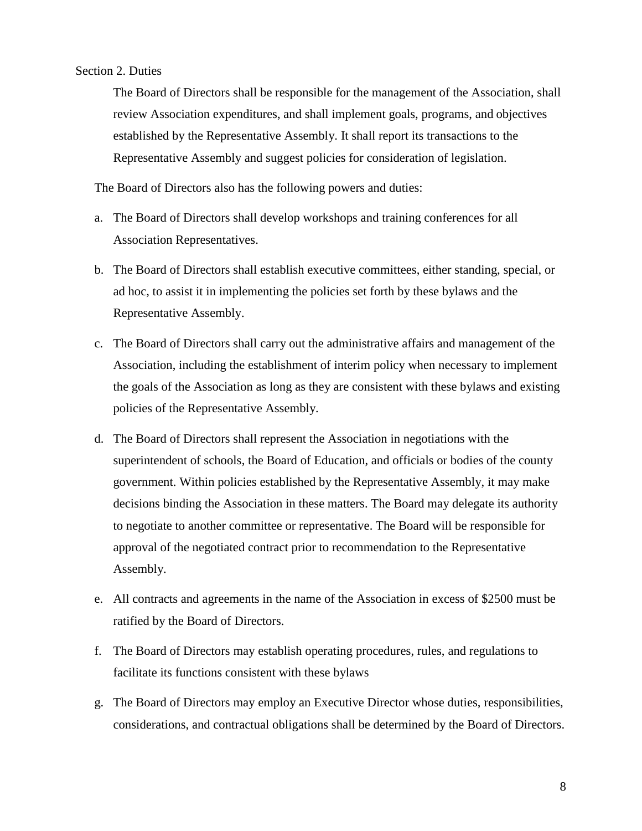# Section 2. Duties

The Board of Directors shall be responsible for the management of the Association, shall review Association expenditures, and shall implement goals, programs, and objectives established by the Representative Assembly. It shall report its transactions to the Representative Assembly and suggest policies for consideration of legislation.

The Board of Directors also has the following powers and duties:

- a. The Board of Directors shall develop workshops and training conferences for all Association Representatives.
- b. The Board of Directors shall establish executive committees, either standing, special, or ad hoc, to assist it in implementing the policies set forth by these bylaws and the Representative Assembly.
- c. The Board of Directors shall carry out the administrative affairs and management of the Association, including the establishment of interim policy when necessary to implement the goals of the Association as long as they are consistent with these bylaws and existing policies of the Representative Assembly.
- d. The Board of Directors shall represent the Association in negotiations with the superintendent of schools, the Board of Education, and officials or bodies of the county government. Within policies established by the Representative Assembly, it may make decisions binding the Association in these matters. The Board may delegate its authority to negotiate to another committee or representative. The Board will be responsible for approval of the negotiated contract prior to recommendation to the Representative Assembly.
- e. All contracts and agreements in the name of the Association in excess of \$2500 must be ratified by the Board of Directors.
- f. The Board of Directors may establish operating procedures, rules, and regulations to facilitate its functions consistent with these bylaws
- g. The Board of Directors may employ an Executive Director whose duties, responsibilities, considerations, and contractual obligations shall be determined by the Board of Directors.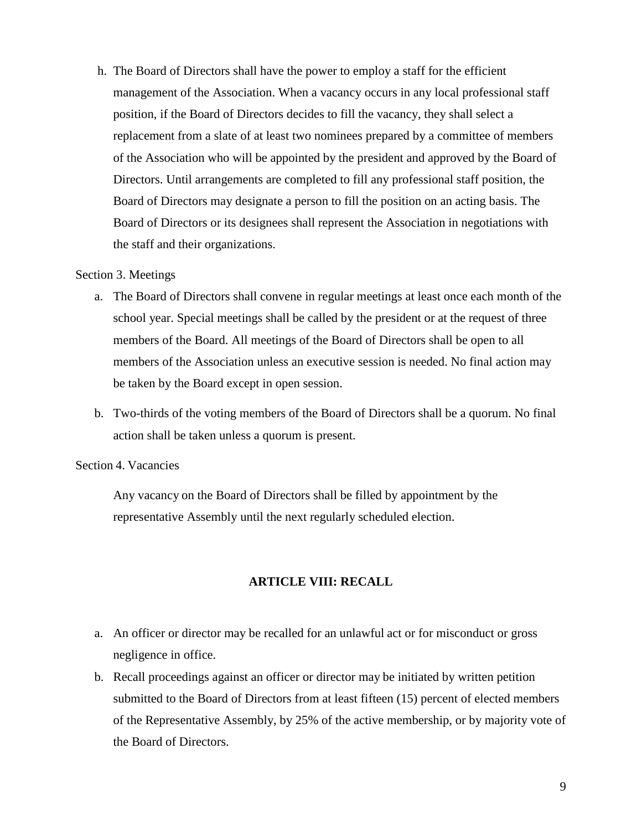h. The Board of Directors shall have the power to employ a staff for the efficient management of the Association. When a vacancy occurs in any local professional staff position, if the Board of Directors decides to fill the vacancy, they shall select a replacement from a slate of at least two nominees prepared by a committee of members of the Association who will be appointed by the president and approved by the Board of Directors. Until arrangements are completed to fill any professional staff position, the Board of Directors may designate a person to fill the position on an acting basis. The Board of Directors or its designees shall represent the Association in negotiations with the staff and their organizations.

## Section 3. Meetings

- a. The Board of Directors shall convene in regular meetings at least once each month of the school year. Special meetings shall be called by the president or at the request of three members of the Board. All meetings of the Board of Directors shall be open to all members of the Association unless an executive session is needed. No final action may be taken by the Board except in open session.
- b. Two-thirds of the voting members of the Board of Directors shall be a quorum. No final action shall be taken unless a quorum is present.

#### Section 4. Vacancies

Any vacancy on the Board of Directors shall be filled by appointment by the representative Assembly until the next regularly scheduled election.

## **ARTICLE VIII: RECALL**

- a. An officer or director may be recalled for an unlawful act or for misconduct or gross negligence in office.
- b. Recall proceedings against an officer or director may be initiated by written petition submitted to the Board of Directors from at least fifteen (15) percent of elected members of the Representative Assembly, by 25% of the active membership, or by majority vote of the Board of Directors.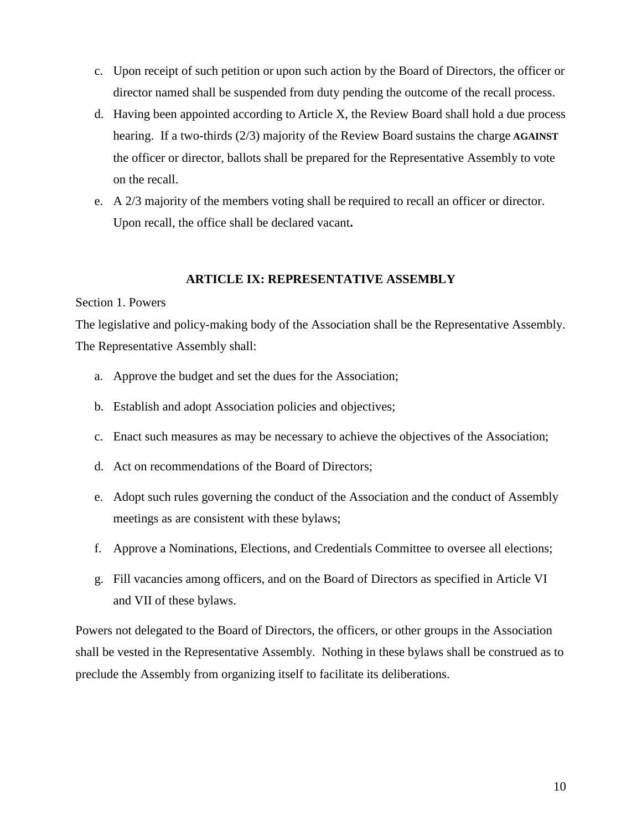- c. Upon receipt of such petition or upon such action by the Board of Directors, the officer or director named shall be suspended from duty pending the outcome of the recall process.
- d. Having been appointed according to Article X, the Review Board shall hold a due process hearing. If a two-thirds (2/3) majority of the Review Board sustains the charge **AGAINST**  the officer or director, ballots shall be prepared for the Representative Assembly to vote on the recall.
- e. A 2/3 majority of the members voting shall be required to recall an officer or director. Upon recall, the office shall be declared vacant**.**

# **ARTICLE IX: REPRESENTATIVE ASSEMBLY**

#### Section 1. Powers

The legislative and policy-making body of the Association shall be the Representative Assembly. The Representative Assembly shall:

- a. Approve the budget and set the dues for the Association;
- b. Establish and adopt Association policies and objectives;
- c. Enact such measures as may be necessary to achieve the objectives of the Association;
- d. Act on recommendations of the Board of Directors;
- e. Adopt such rules governing the conduct of the Association and the conduct of Assembly meetings as are consistent with these bylaws;
- f. Approve a Nominations, Elections, and Credentials Committee to oversee all elections;
- g. Fill vacancies among officers, and on the Board of Directors as specified in Article VI and VII of these bylaws.

Powers not delegated to the Board of Directors, the officers, or other groups in the Association shall be vested in the Representative Assembly. Nothing in these bylaws shall be construed as to preclude the Assembly from organizing itself to facilitate its deliberations.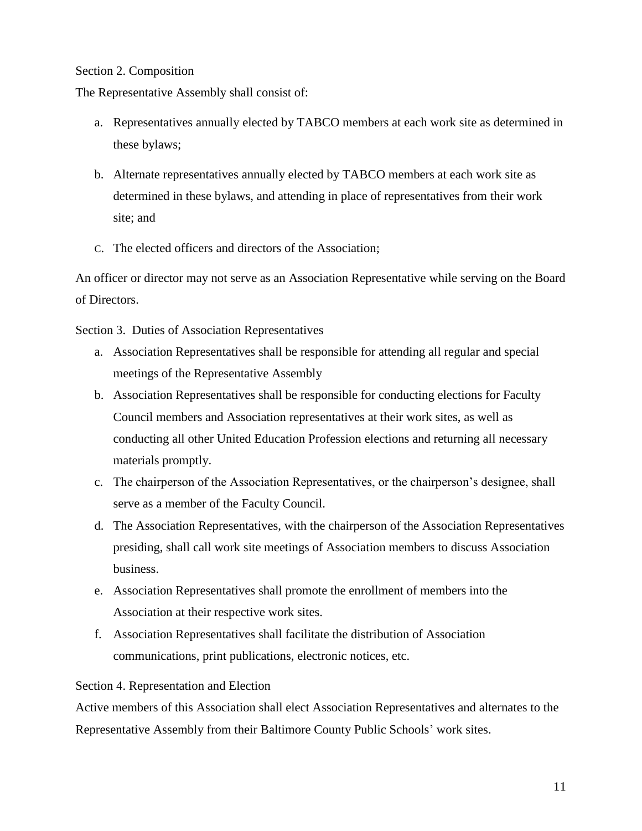# Section 2. Composition

The Representative Assembly shall consist of:

- a. Representatives annually elected by TABCO members at each work site as determined in these bylaws;
- b. Alternate representatives annually elected by TABCO members at each work site as determined in these bylaws, and attending in place of representatives from their work site; and
- C. The elected officers and directors of the Association;

An officer or director may not serve as an Association Representative while serving on the Board of Directors.

Section 3. Duties of Association Representatives

- a. Association Representatives shall be responsible for attending all regular and special meetings of the Representative Assembly
- b. Association Representatives shall be responsible for conducting elections for Faculty Council members and Association representatives at their work sites, as well as conducting all other United Education Profession elections and returning all necessary materials promptly.
- c. The chairperson of the Association Representatives, or the chairperson's designee, shall serve as a member of the Faculty Council.
- d. The Association Representatives, with the chairperson of the Association Representatives presiding, shall call work site meetings of Association members to discuss Association business.
- e. Association Representatives shall promote the enrollment of members into the Association at their respective work sites.
- f. Association Representatives shall facilitate the distribution of Association communications, print publications, electronic notices, etc.

# Section 4. Representation and Election

Active members of this Association shall elect Association Representatives and alternates to the Representative Assembly from their Baltimore County Public Schools' work sites.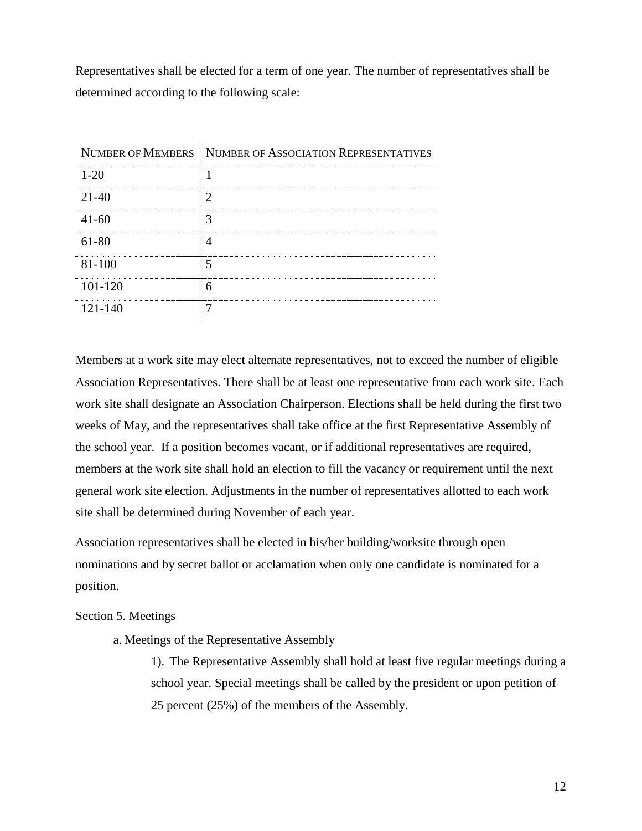Representatives shall be elected for a term of one year. The number of representatives shall be determined according to the following scale:

|            | NUMBER OF MEMBERS NUMBER OF ASSOCIATION REPRESENTATIVES |
|------------|---------------------------------------------------------|
| $1 - 20$   |                                                         |
| 21-40      |                                                         |
| $41 - 60$  |                                                         |
| 61-80      |                                                         |
| $81 - 100$ |                                                         |
| 101-120    |                                                         |
| 121-140    |                                                         |

Members at a work site may elect alternate representatives, not to exceed the number of eligible Association Representatives. There shall be at least one representative from each work site. Each work site shall designate an Association Chairperson. Elections shall be held during the first two weeks of May, and the representatives shall take office at the first Representative Assembly of the school year. If a position becomes vacant, or if additional representatives are required, members at the work site shall hold an election to fill the vacancy or requirement until the next general work site election. Adjustments in the number of representatives allotted to each work site shall be determined during November of each year.

Association representatives shall be elected in his/her building/worksite through open nominations and by secret ballot or acclamation when only one candidate is nominated for a position.

## Section 5. Meetings

a. Meetings of the Representative Assembly

1). The Representative Assembly shall hold at least five regular meetings during a school year. Special meetings shall be called by the president or upon petition of 25 percent (25%) of the members of the Assembly.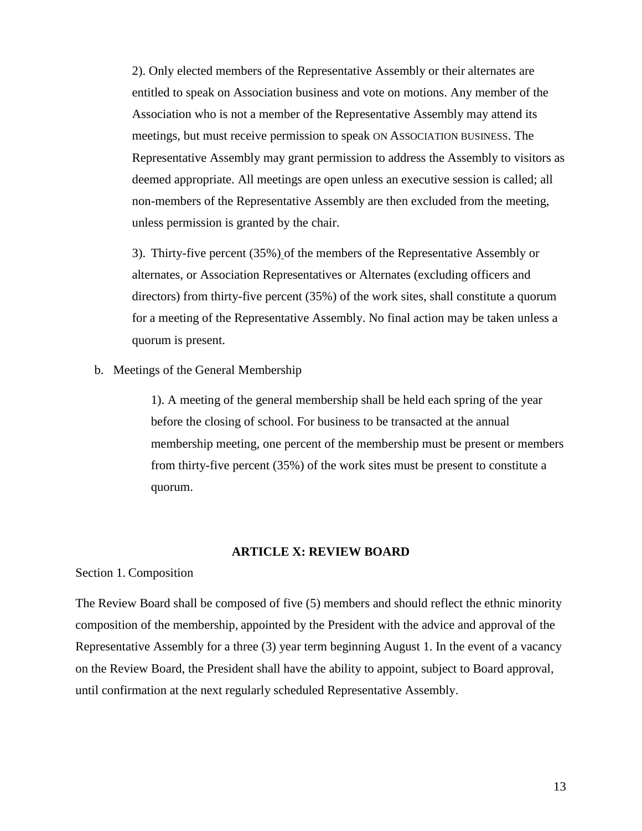2). Only elected members of the Representative Assembly or their alternates are entitled to speak on Association business and vote on motions. Any member of the Association who is not a member of the Representative Assembly may attend its meetings, but must receive permission to speak ON ASSOCIATION BUSINESS. The Representative Assembly may grant permission to address the Assembly to visitors as deemed appropriate. All meetings are open unless an executive session is called; all non-members of the Representative Assembly are then excluded from the meeting, unless permission is granted by the chair.

3). Thirty-five percent (35%) of the members of the Representative Assembly or alternates, or Association Representatives or Alternates (excluding officers and directors) from thirty-five percent (35%) of the work sites, shall constitute a quorum for a meeting of the Representative Assembly. No final action may be taken unless a quorum is present.

b. Meetings of the General Membership

1). A meeting of the general membership shall be held each spring of the year before the closing of school. For business to be transacted at the annual membership meeting, one percent of the membership must be present or members from thirty-five percent (35%) of the work sites must be present to constitute a quorum.

# **ARTICLE X: REVIEW BOARD**

Section 1. Composition

The Review Board shall be composed of five (5) members and should reflect the ethnic minority composition of the membership, appointed by the President with the advice and approval of the Representative Assembly for a three (3) year term beginning August 1. In the event of a vacancy on the Review Board, the President shall have the ability to appoint, subject to Board approval, until confirmation at the next regularly scheduled Representative Assembly.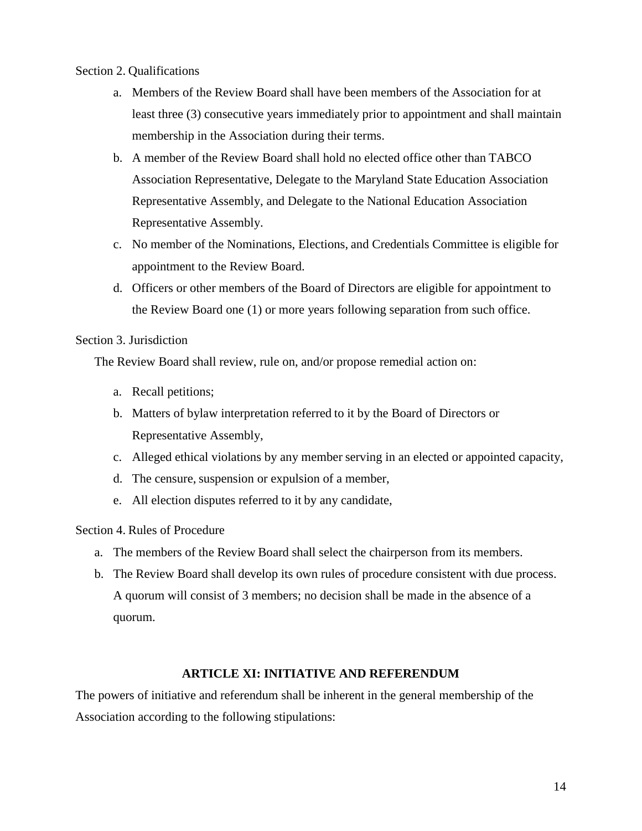# Section 2. Qualifications

- a. Members of the Review Board shall have been members of the Association for at least three (3) consecutive years immediately prior to appointment and shall maintain membership in the Association during their terms.
- b. A member of the Review Board shall hold no elected office other than TABCO Association Representative, Delegate to the Maryland State Education Association Representative Assembly, and Delegate to the National Education Association Representative Assembly.
- c. No member of the Nominations, Elections, and Credentials Committee is eligible for appointment to the Review Board.
- d. Officers or other members of the Board of Directors are eligible for appointment to the Review Board one (1) or more years following separation from such office.

# Section 3. Jurisdiction

The Review Board shall review, rule on, and/or propose remedial action on:

- a. Recall petitions;
- b. Matters of bylaw interpretation referred to it by the Board of Directors or Representative Assembly,
- c. Alleged ethical violations by any member serving in an elected or appointed capacity,
- d. The censure, suspension or expulsion of a member,
- e. All election disputes referred to it by any candidate,

Section 4. Rules of Procedure

- a. The members of the Review Board shall select the chairperson from its members.
- b. The Review Board shall develop its own rules of procedure consistent with due process. A quorum will consist of 3 members; no decision shall be made in the absence of a quorum.

# **ARTICLE XI: INITIATIVE AND REFERENDUM**

The powers of initiative and referendum shall be inherent in the general membership of the Association according to the following stipulations: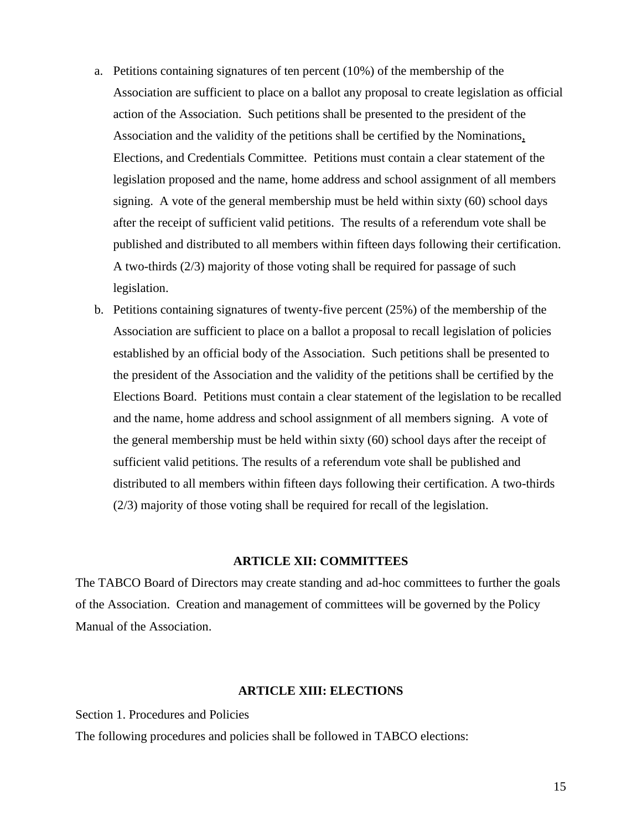- a. Petitions containing signatures of ten percent (10%) of the membership of the Association are sufficient to place on a ballot any proposal to create legislation as official action of the Association. Such petitions shall be presented to the president of the Association and the validity of the petitions shall be certified by the Nominations, Elections, and Credentials Committee. Petitions must contain a clear statement of the legislation proposed and the name, home address and school assignment of all members signing. A vote of the general membership must be held within sixty (60) school days after the receipt of sufficient valid petitions. The results of a referendum vote shall be published and distributed to all members within fifteen days following their certification. A two-thirds (2/3) majority of those voting shall be required for passage of such legislation.
- b. Petitions containing signatures of twenty-five percent (25%) of the membership of the Association are sufficient to place on a ballot a proposal to recall legislation of policies established by an official body of the Association. Such petitions shall be presented to the president of the Association and the validity of the petitions shall be certified by the Elections Board. Petitions must contain a clear statement of the legislation to be recalled and the name, home address and school assignment of all members signing. A vote of the general membership must be held within sixty (60) school days after the receipt of sufficient valid petitions. The results of a referendum vote shall be published and distributed to all members within fifteen days following their certification. A two-thirds (2/3) majority of those voting shall be required for recall of the legislation.

# **ARTICLE XII: COMMITTEES**

The TABCO Board of Directors may create standing and ad-hoc committees to further the goals of the Association. Creation and management of committees will be governed by the Policy Manual of the Association.

## **ARTICLE XIII: ELECTIONS**

Section 1. Procedures and Policies

The following procedures and policies shall be followed in TABCO elections: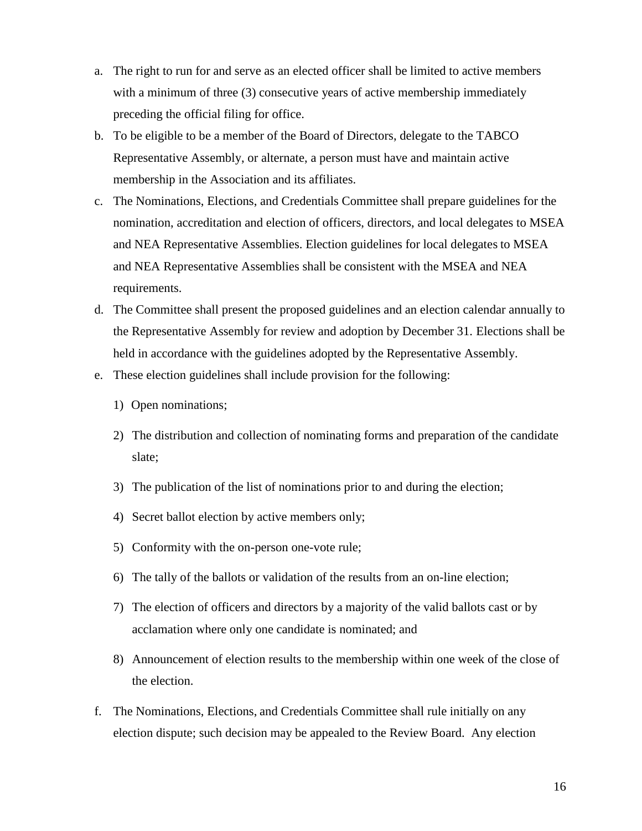- a. The right to run for and serve as an elected officer shall be limited to active members with a minimum of three (3) consecutive years of active membership immediately preceding the official filing for office.
- b. To be eligible to be a member of the Board of Directors, delegate to the TABCO Representative Assembly, or alternate, a person must have and maintain active membership in the Association and its affiliates.
- c. The Nominations, Elections, and Credentials Committee shall prepare guidelines for the nomination, accreditation and election of officers, directors, and local delegates to MSEA and NEA Representative Assemblies. Election guidelines for local delegates to MSEA and NEA Representative Assemblies shall be consistent with the MSEA and NEA requirements.
- d. The Committee shall present the proposed guidelines and an election calendar annually to the Representative Assembly for review and adoption by December 31. Elections shall be held in accordance with the guidelines adopted by the Representative Assembly.
- e. These election guidelines shall include provision for the following:
	- 1)Open nominations;
	- 2) The distribution and collection of nominating forms and preparation of the candidate slate;
	- 3) The publication of the list of nominations prior to and during the election;
	- 4) Secret ballot election by active members only;
	- 5) Conformity with the on-person one-vote rule;
	- 6) The tally of the ballots or validation of the results from an on-line election;
	- 7) The election of officers and directors by a majority of the valid ballots cast or by acclamation where only one candidate is nominated; and
	- 8) Announcement of election results to the membership within one week of the close of the election.
- f. The Nominations, Elections, and Credentials Committee shall rule initially on any election dispute; such decision may be appealed to the Review Board. Any election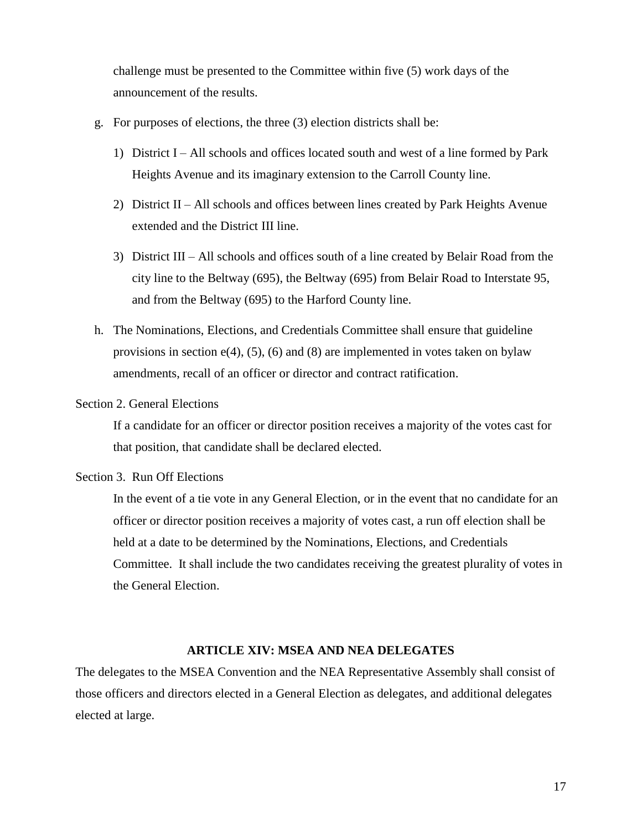challenge must be presented to the Committee within five (5) work days of the announcement of the results.

- g. For purposes of elections, the three (3) election districts shall be:
	- 1) District I All schools and offices located south and west of a line formed by Park Heights Avenue and its imaginary extension to the Carroll County line.
	- 2) District II All schools and offices between lines created by Park Heights Avenue extended and the District III line.
	- 3) District III All schools and offices south of a line created by Belair Road from the city line to the Beltway (695), the Beltway (695) from Belair Road to Interstate 95, and from the Beltway (695) to the Harford County line.
- h. The Nominations, Elections, and Credentials Committee shall ensure that guideline provisions in section  $e(4)$ , (5), (6) and (8) are implemented in votes taken on bylaw amendments, recall of an officer or director and contract ratification.

## Section 2. General Elections

If a candidate for an officer or director position receives a majority of the votes cast for that position, that candidate shall be declared elected.

## Section 3. Run Off Elections

In the event of a tie vote in any General Election, or in the event that no candidate for an officer or director position receives a majority of votes cast, a run off election shall be held at a date to be determined by the Nominations, Elections, and Credentials Committee. It shall include the two candidates receiving the greatest plurality of votes in the General Election.

## **ARTICLE XIV: MSEA AND NEA DELEGATES**

The delegates to the MSEA Convention and the NEA Representative Assembly shall consist of those officers and directors elected in a General Election as delegates, and additional delegates elected at large.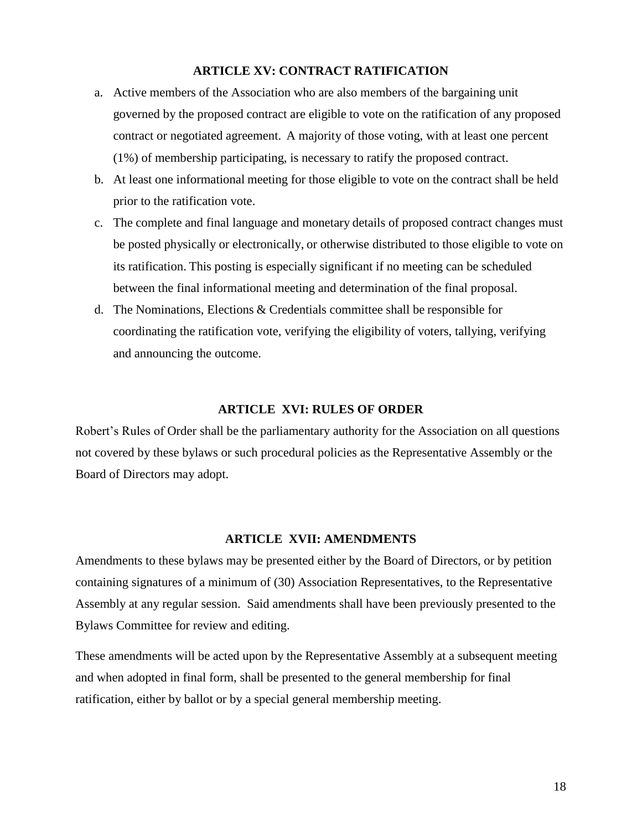# **ARTICLE XV: CONTRACT RATIFICATION**

- a. Active members of the Association who are also members of the bargaining unit governed by the proposed contract are eligible to vote on the ratification of any proposed contract or negotiated agreement.A majority of those voting, with at least one percent (1%) of membership participating, is necessary to ratify the proposed contract.
- b. At least one informational meeting for those eligible to vote on the contract shall be held prior to the ratification vote.
- c. The complete and final language and monetary details of proposed contract changes must be posted physically or electronically, or otherwise distributed to those eligible to vote on its ratification. This posting is especially significant if no meeting can be scheduled between the final informational meeting and determination of the final proposal.
- d. The Nominations, Elections & Credentials committee shall be responsible for coordinating the ratification vote, verifying the eligibility of voters, tallying, verifying and announcing the outcome.

## **ARTICLE XVI: RULES OF ORDER**

Robert's Rules of Order shall be the parliamentary authority for the Association on all questions not covered by these bylaws or such procedural policies as the Representative Assembly or the Board of Directors may adopt.

## **ARTICLE XVII: AMENDMENTS**

Amendments to these bylaws may be presented either by the Board of Directors, or by petition containing signatures of a minimum of (30) Association Representatives, to the Representative Assembly at any regular session. Said amendments shall have been previously presented to the Bylaws Committee for review and editing.

These amendments will be acted upon by the Representative Assembly at a subsequent meeting and when adopted in final form, shall be presented to the general membership for final ratification, either by ballot or by a special general membership meeting.